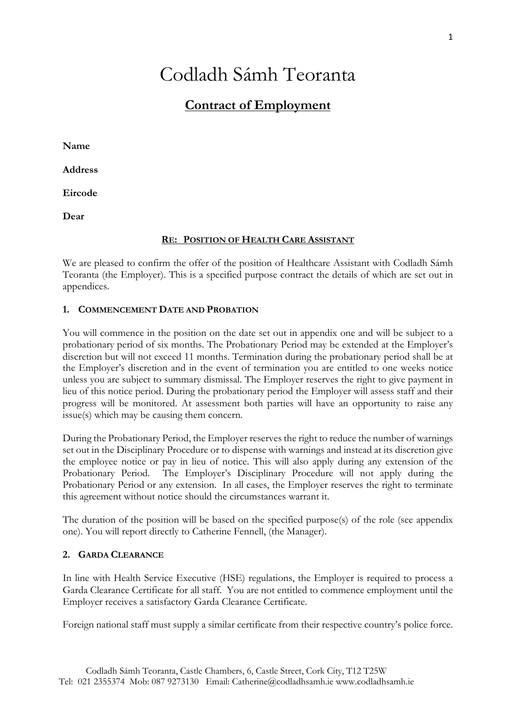# Codladh Sámh Teoranta

## **Contract of Employment**

**Name**

**Address**

**Eircode**

**Dear**

## **RE: POSITION OF HEALTH CARE ASSISTANT**

We are pleased to confirm the offer of the position of Healthcare Assistant with Codladh Sámh Teoranta (the Employer). This is a specified purpose contract the details of which are set out in appendices.

## **1. COMMENCEMENT DATE AND PROBATION**

You will commence in the position on the date set out in appendix one and will be subject to a probationary period of six months. The Probationary Period may be extended at the Employer's discretion but will not exceed 11 months. Termination during the probationary period shall be at the Employer's discretion and in the event of termination you are entitled to one weeks notice unless you are subject to summary dismissal. The Employer reserves the right to give payment in lieu of this notice period. During the probationary period the Employer will assess staff and their progress will be monitored. At assessment both parties will have an opportunity to raise any issue(s) which may be causing them concern.

During the Probationary Period, the Employer reserves the right to reduce the number of warnings set out in the Disciplinary Procedure or to dispense with warnings and instead at its discretion give the employee notice or pay in lieu of notice. This will also apply during any extension of the Probationary Period. The Employer's Disciplinary Procedure will not apply during the Probationary Period or any extension. In all cases, the Employer reserves the right to terminate this agreement without notice should the circumstances warrant it.

The duration of the position will be based on the specified purpose(s) of the role (see appendix one). You will report directly to Catherine Fennell, (the Manager).

## **2. GARDA CLEARANCE**

In line with Health Service Executive (HSE) regulations, the Employer is required to process a Garda Clearance Certificate for all staff. You are not entitled to commence employment until the Employer receives a satisfactory Garda Clearance Certificate.

Foreign national staff must supply a similar certificate from their respective country's police force.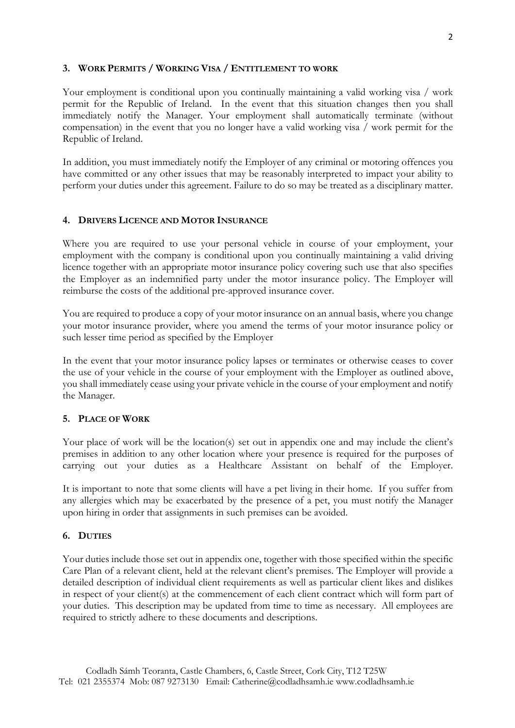## **3. WORK PERMITS / WORKING VISA / ENTITLEMENT TO WORK**

Your employment is conditional upon you continually maintaining a valid working visa / work permit for the Republic of Ireland. In the event that this situation changes then you shall immediately notify the Manager. Your employment shall automatically terminate (without compensation) in the event that you no longer have a valid working visa / work permit for the Republic of Ireland.

In addition, you must immediately notify the Employer of any criminal or motoring offences you have committed or any other issues that may be reasonably interpreted to impact your ability to perform your duties under this agreement. Failure to do so may be treated as a disciplinary matter.

## **4. DRIVERS LICENCE AND MOTOR INSURANCE**

Where you are required to use your personal vehicle in course of your employment, your employment with the company is conditional upon you continually maintaining a valid driving licence together with an appropriate motor insurance policy covering such use that also specifies the Employer as an indemnified party under the motor insurance policy. The Employer will reimburse the costs of the additional pre-approved insurance cover.

You are required to produce a copy of your motor insurance on an annual basis, where you change your motor insurance provider, where you amend the terms of your motor insurance policy or such lesser time period as specified by the Employer

In the event that your motor insurance policy lapses or terminates or otherwise ceases to cover the use of your vehicle in the course of your employment with the Employer as outlined above, you shall immediately cease using your private vehicle in the course of your employment and notify the Manager.

## **5. PLACE OF WORK**

Your place of work will be the location(s) set out in appendix one and may include the client's premises in addition to any other location where your presence is required for the purposes of carrying out your duties as a Healthcare Assistant on behalf of the Employer.

It is important to note that some clients will have a pet living in their home. If you suffer from any allergies which may be exacerbated by the presence of a pet, you must notify the Manager upon hiring in order that assignments in such premises can be avoided.

## **6. DUTIES**

Your duties include those set out in appendix one, together with those specified within the specific Care Plan of a relevant client, held at the relevant client's premises. The Employer will provide a detailed description of individual client requirements as well as particular client likes and dislikes in respect of your client(s) at the commencement of each client contract which will form part of your duties. This description may be updated from time to time as necessary. All employees are required to strictly adhere to these documents and descriptions.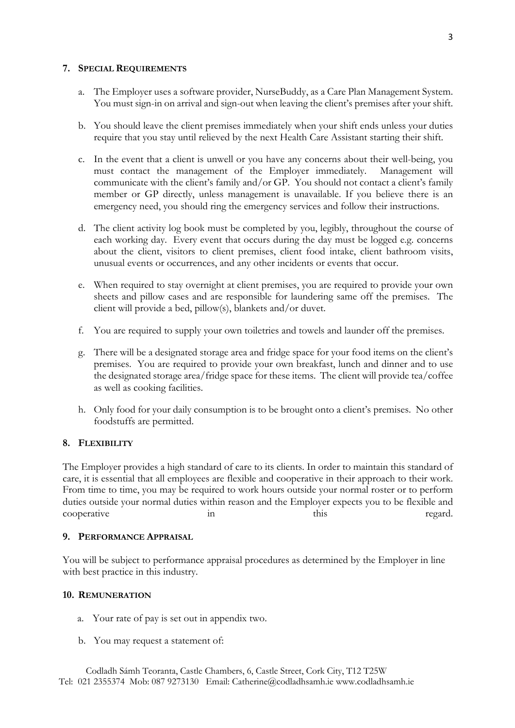## **7. SPECIAL REQUIREMENTS**

- a. The Employer uses a software provider, NurseBuddy, as a Care Plan Management System. You must sign-in on arrival and sign-out when leaving the client's premises after your shift.
- b. You should leave the client premises immediately when your shift ends unless your duties require that you stay until relieved by the next Health Care Assistant starting their shift.
- c. In the event that a client is unwell or you have any concerns about their well-being, you must contact the management of the Employer immediately. Management will communicate with the client's family and/or GP. You should not contact a client's family member or GP directly, unless management is unavailable. If you believe there is an emergency need, you should ring the emergency services and follow their instructions.
- d. The client activity log book must be completed by you, legibly, throughout the course of each working day. Every event that occurs during the day must be logged e.g. concerns about the client, visitors to client premises, client food intake, client bathroom visits, unusual events or occurrences, and any other incidents or events that occur.
- e. When required to stay overnight at client premises, you are required to provide your own sheets and pillow cases and are responsible for laundering same off the premises. The client will provide a bed, pillow(s), blankets and/or duvet.
- f. You are required to supply your own toiletries and towels and launder off the premises.
- g. There will be a designated storage area and fridge space for your food items on the client's premises. You are required to provide your own breakfast, lunch and dinner and to use the designated storage area/fridge space for these items. The client will provide tea/coffee as well as cooking facilities.
- h. Only food for your daily consumption is to be brought onto a client's premises. No other foodstuffs are permitted.

## **8. FLEXIBILITY**

The Employer provides a high standard of care to its clients. In order to maintain this standard of care, it is essential that all employees are flexible and cooperative in their approach to their work. From time to time, you may be required to work hours outside your normal roster or to perform duties outside your normal duties within reason and the Employer expects you to be flexible and cooperative in this this regard.

## **9. PERFORMANCE APPRAISAL**

You will be subject to performance appraisal procedures as determined by the Employer in line with best practice in this industry.

### **10. REMUNERATION**

- a. Your rate of pay is set out in appendix two.
- b. You may request a statement of: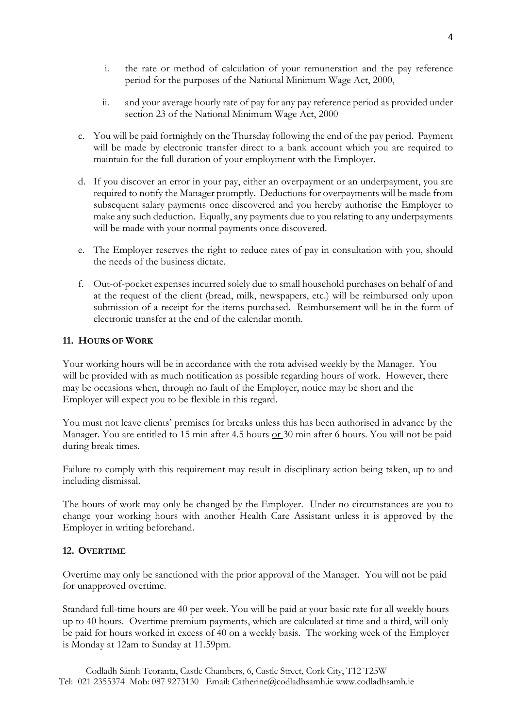- i. the rate or method of calculation of your remuneration and the pay reference period for the purposes of the National Minimum Wage Act, 2000,
- ii. and your average hourly rate of pay for any pay reference period as provided under section 23 of the National Minimum Wage Act, 2000
- c. You will be paid fortnightly on the Thursday following the end of the pay period. Payment will be made by electronic transfer direct to a bank account which you are required to maintain for the full duration of your employment with the Employer.
- d. If you discover an error in your pay, either an overpayment or an underpayment, you are required to notify the Manager promptly. Deductions for overpayments will be made from subsequent salary payments once discovered and you hereby authorise the Employer to make any such deduction. Equally, any payments due to you relating to any underpayments will be made with your normal payments once discovered.
- e. The Employer reserves the right to reduce rates of pay in consultation with you, should the needs of the business dictate.
- f. Out-of-pocket expenses incurred solely due to small household purchases on behalf of and at the request of the client (bread, milk, newspapers, etc.) will be reimbursed only upon submission of a receipt for the items purchased. Reimbursement will be in the form of electronic transfer at the end of the calendar month.

## **11. HOURS OF WORK**

Your working hours will be in accordance with the rota advised weekly by the Manager. You will be provided with as much notification as possible regarding hours of work. However, there may be occasions when, through no fault of the Employer, notice may be short and the Employer will expect you to be flexible in this regard.

You must not leave clients' premises for breaks unless this has been authorised in advance by the Manager. You are entitled to 15 min after 4.5 hours or 30 min after 6 hours. You will not be paid during break times.

Failure to comply with this requirement may result in disciplinary action being taken, up to and including dismissal.

The hours of work may only be changed by the Employer. Under no circumstances are you to change your working hours with another Health Care Assistant unless it is approved by the Employer in writing beforehand.

## **12. OVERTIME**

Overtime may only be sanctioned with the prior approval of the Manager. You will not be paid for unapproved overtime.

Standard full-time hours are 40 per week. You will be paid at your basic rate for all weekly hours up to 40 hours. Overtime premium payments, which are calculated at time and a third, will only be paid for hours worked in excess of 40 on a weekly basis. The working week of the Employer is Monday at 12am to Sunday at 11.59pm.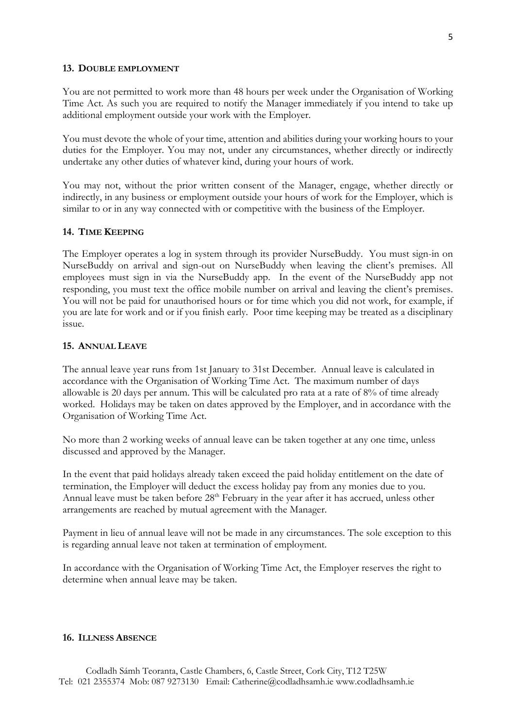#### **13. DOUBLE EMPLOYMENT**

You are not permitted to work more than 48 hours per week under the Organisation of Working Time Act. As such you are required to notify the Manager immediately if you intend to take up additional employment outside your work with the Employer.

You must devote the whole of your time, attention and abilities during your working hours to your duties for the Employer. You may not, under any circumstances, whether directly or indirectly undertake any other duties of whatever kind, during your hours of work.

You may not, without the prior written consent of the Manager, engage, whether directly or indirectly, in any business or employment outside your hours of work for the Employer, which is similar to or in any way connected with or competitive with the business of the Employer.

#### **14. TIME KEEPING**

The Employer operates a log in system through its provider NurseBuddy. You must sign-in on NurseBuddy on arrival and sign-out on NurseBuddy when leaving the client's premises. All employees must sign in via the NurseBuddy app. In the event of the NurseBuddy app not responding, you must text the office mobile number on arrival and leaving the client's premises. You will not be paid for unauthorised hours or for time which you did not work, for example, if you are late for work and or if you finish early. Poor time keeping may be treated as a disciplinary issue.

## **15. ANNUAL LEAVE**

The annual leave year runs from 1st January to 31st December. Annual leave is calculated in accordance with the Organisation of Working Time Act. The maximum number of days allowable is 20 days per annum. This will be calculated pro rata at a rate of 8% of time already worked. Holidays may be taken on dates approved by the Employer, and in accordance with the Organisation of Working Time Act.

No more than 2 working weeks of annual leave can be taken together at any one time, unless discussed and approved by the Manager.

In the event that paid holidays already taken exceed the paid holiday entitlement on the date of termination, the Employer will deduct the excess holiday pay from any monies due to you. Annual leave must be taken before 28<sup>th</sup> February in the year after it has accrued, unless other arrangements are reached by mutual agreement with the Manager.

Payment in lieu of annual leave will not be made in any circumstances. The sole exception to this is regarding annual leave not taken at termination of employment.

In accordance with the Organisation of Working Time Act, the Employer reserves the right to determine when annual leave may be taken.

#### **16. ILLNESS ABSENCE**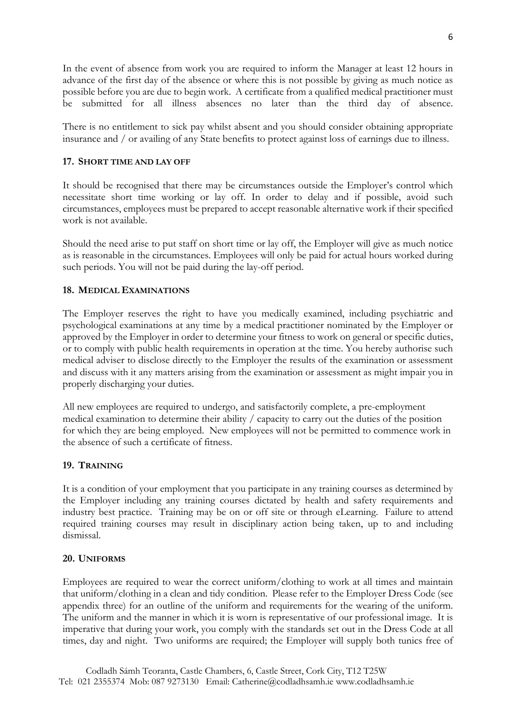In the event of absence from work you are required to inform the Manager at least 12 hours in advance of the first day of the absence or where this is not possible by giving as much notice as possible before you are due to begin work. A certificate from a qualified medical practitioner must be submitted for all illness absences no later than the third day of absence.

There is no entitlement to sick pay whilst absent and you should consider obtaining appropriate insurance and / or availing of any State benefits to protect against loss of earnings due to illness.

## **17. SHORT TIME AND LAY OFF**

It should be recognised that there may be circumstances outside the Employer's control which necessitate short time working or lay off. In order to delay and if possible, avoid such circumstances, employees must be prepared to accept reasonable alternative work if their specified work is not available.

Should the need arise to put staff on short time or lay off, the Employer will give as much notice as is reasonable in the circumstances. Employees will only be paid for actual hours worked during such periods. You will not be paid during the lay-off period.

## **18. MEDICAL EXAMINATIONS**

The Employer reserves the right to have you medically examined, including psychiatric and psychological examinations at any time by a medical practitioner nominated by the Employer or approved by the Employer in order to determine your fitness to work on general or specific duties, or to comply with public health requirements in operation at the time. You hereby authorise such medical adviser to disclose directly to the Employer the results of the examination or assessment and discuss with it any matters arising from the examination or assessment as might impair you in properly discharging your duties.

All new employees are required to undergo, and satisfactorily complete, a pre-employment medical examination to determine their ability / capacity to carry out the duties of the position for which they are being employed. New employees will not be permitted to commence work in the absence of such a certificate of fitness.

### **19. TRAINING**

It is a condition of your employment that you participate in any training courses as determined by the Employer including any training courses dictated by health and safety requirements and industry best practice. Training may be on or off site or through eLearning. Failure to attend required training courses may result in disciplinary action being taken, up to and including dismissal.

### **20. UNIFORMS**

Employees are required to wear the correct uniform/clothing to work at all times and maintain that uniform/clothing in a clean and tidy condition. Please refer to the Employer Dress Code (see appendix three) for an outline of the uniform and requirements for the wearing of the uniform. The uniform and the manner in which it is worn is representative of our professional image. It is imperative that during your work, you comply with the standards set out in the Dress Code at all times, day and night. Two uniforms are required; the Employer will supply both tunics free of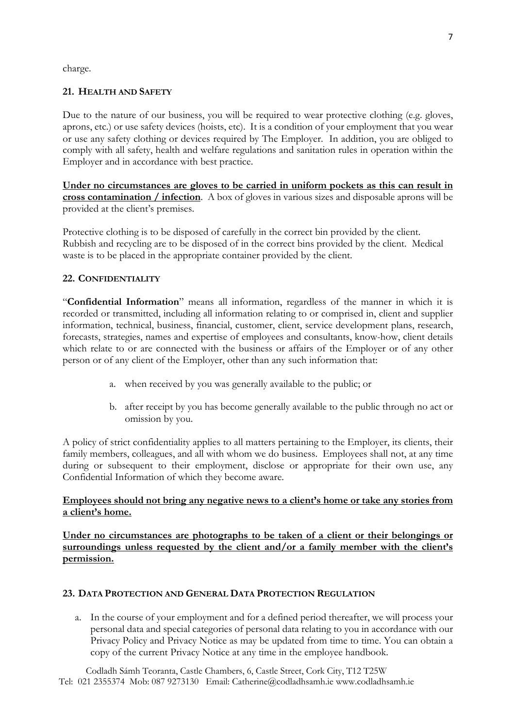charge.

## **21. HEALTH AND SAFETY**

Due to the nature of our business, you will be required to wear protective clothing (e.g. gloves, aprons, etc.) or use safety devices (hoists, etc). It is a condition of your employment that you wear or use any safety clothing or devices required by The Employer. In addition, you are obliged to comply with all safety, health and welfare regulations and sanitation rules in operation within the Employer and in accordance with best practice.

**Under no circumstances are gloves to be carried in uniform pockets as this can result in cross contamination / infection**. A box of gloves in various sizes and disposable aprons will be provided at the client's premises.

Protective clothing is to be disposed of carefully in the correct bin provided by the client. Rubbish and recycling are to be disposed of in the correct bins provided by the client. Medical waste is to be placed in the appropriate container provided by the client.

## **22. CONFIDENTIALITY**

"**Confidential Information**" means all information, regardless of the manner in which it is recorded or transmitted, including all information relating to or comprised in, client and supplier information, technical, business, financial, customer, client, service development plans, research, forecasts, strategies, names and expertise of employees and consultants, know-how, client details which relate to or are connected with the business or affairs of the Employer or of any other person or of any client of the Employer, other than any such information that:

- a. when received by you was generally available to the public; or
- b. after receipt by you has become generally available to the public through no act or omission by you.

A policy of strict confidentiality applies to all matters pertaining to the Employer, its clients, their family members, colleagues, and all with whom we do business. Employees shall not, at any time during or subsequent to their employment, disclose or appropriate for their own use, any Confidential Information of which they become aware.

## **Employees should not bring any negative news to a client's home or take any stories from a client's home.**

**Under no circumstances are photographs to be taken of a client or their belongings or surroundings unless requested by the client and/or a family member with the client's permission.**

## **23. DATA PROTECTION AND GENERAL DATA PROTECTION REGULATION**

a. In the course of your employment and for a defined period thereafter, we will process your personal data and special categories of personal data relating to you in accordance with our Privacy Policy and Privacy Notice as may be updated from time to time. You can obtain a copy of the current Privacy Notice at any time in the employee handbook.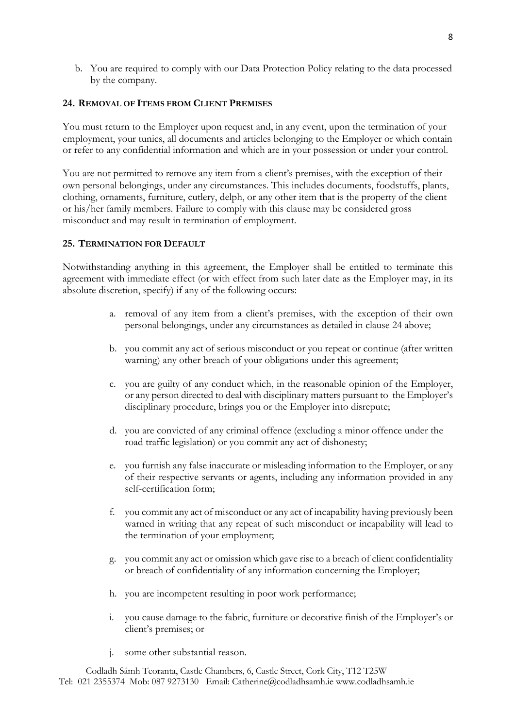b. You are required to comply with our Data Protection Policy relating to the data processed by the company.

## **24. REMOVAL OF ITEMS FROM CLIENT PREMISES**

You must return to the Employer upon request and, in any event, upon the termination of your employment, your tunics, all documents and articles belonging to the Employer or which contain or refer to any confidential information and which are in your possession or under your control.

You are not permitted to remove any item from a client's premises, with the exception of their own personal belongings, under any circumstances. This includes documents, foodstuffs, plants, clothing, ornaments, furniture, cutlery, delph, or any other item that is the property of the client or his/her family members. Failure to comply with this clause may be considered gross misconduct and may result in termination of employment.

## **25. TERMINATION FOR DEFAULT**

Notwithstanding anything in this agreement, the Employer shall be entitled to terminate this agreement with immediate effect (or with effect from such later date as the Employer may, in its absolute discretion, specify) if any of the following occurs:

- a. removal of any item from a client's premises, with the exception of their own personal belongings, under any circumstances as detailed in clause 24 above;
- b. you commit any act of serious misconduct or you repeat or continue (after written warning) any other breach of your obligations under this agreement;
- c. you are guilty of any conduct which, in the reasonable opinion of the Employer, or any person directed to deal with disciplinary matters pursuant to the Employer's disciplinary procedure, brings you or the Employer into disrepute;
- d. you are convicted of any criminal offence (excluding a minor offence under the road traffic legislation) or you commit any act of dishonesty;
- e. you furnish any false inaccurate or misleading information to the Employer, or any of their respective servants or agents, including any information provided in any self-certification form;
- f. you commit any act of misconduct or any act of incapability having previously been warned in writing that any repeat of such misconduct or incapability will lead to the termination of your employment;
- g. you commit any act or omission which gave rise to a breach of client confidentiality or breach of confidentiality of any information concerning the Employer;
- h. you are incompetent resulting in poor work performance;
- i. you cause damage to the fabric, furniture or decorative finish of the Employer's or client's premises; or
- j. some other substantial reason.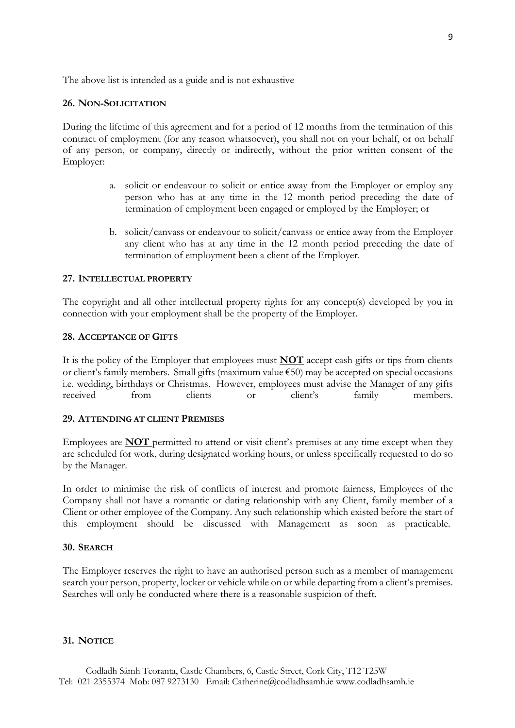The above list is intended as a guide and is not exhaustive

#### **26. NON-SOLICITATION**

During the lifetime of this agreement and for a period of 12 months from the termination of this contract of employment (for any reason whatsoever), you shall not on your behalf, or on behalf of any person, or company, directly or indirectly, without the prior written consent of the Employer:

- a. solicit or endeavour to solicit or entice away from the Employer or employ any person who has at any time in the 12 month period preceding the date of termination of employment been engaged or employed by the Employer; or
- b. solicit/canvass or endeavour to solicit/canvass or entice away from the Employer any client who has at any time in the 12 month period preceding the date of termination of employment been a client of the Employer.

#### **27. INTELLECTUAL PROPERTY**

The copyright and all other intellectual property rights for any concept(s) developed by you in connection with your employment shall be the property of the Employer.

#### **28. ACCEPTANCE OF GIFTS**

It is the policy of the Employer that employees must **NOT** accept cash gifts or tips from clients or client's family members. Small gifts (maximum value €50) may be accepted on special occasions i.e. wedding, birthdays or Christmas. However, employees must advise the Manager of any gifts received from clients or client's family members.

## **29. ATTENDING AT CLIENT PREMISES**

Employees are **NOT** permitted to attend or visit client's premises at any time except when they are scheduled for work, during designated working hours, or unless specifically requested to do so by the Manager.

In order to minimise the risk of conflicts of interest and promote fairness, Employees of the Company shall not have a romantic or dating relationship with any Client, family member of a Client or other employee of the Company. Any such relationship which existed before the start of this employment should be discussed with Management as soon as practicable.

## **30. SEARCH**

The Employer reserves the right to have an authorised person such as a member of management search your person, property, locker or vehicle while on or while departing from a client's premises. Searches will only be conducted where there is a reasonable suspicion of theft.

### **31. NOTICE**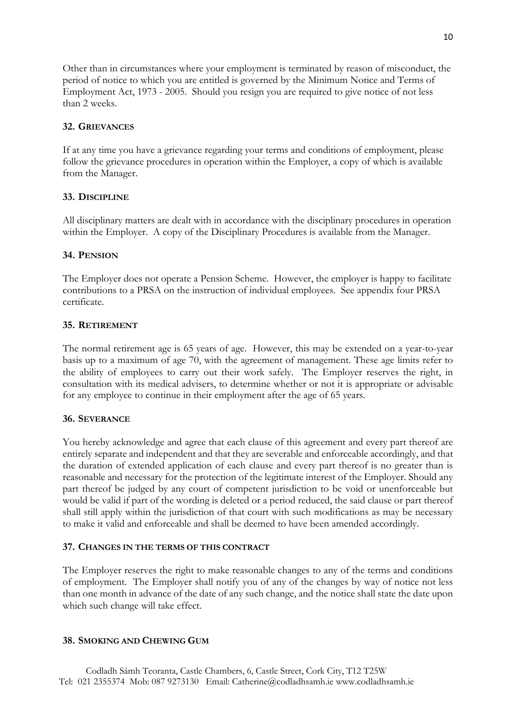Other than in circumstances where your employment is terminated by reason of misconduct, the period of notice to which you are entitled is governed by the Minimum Notice and Terms of Employment Act, 1973 - 2005. Should you resign you are required to give notice of not less than 2 weeks.

### **32. GRIEVANCES**

If at any time you have a grievance regarding your terms and conditions of employment, please follow the grievance procedures in operation within the Employer, a copy of which is available from the Manager.

#### **33. DISCIPLINE**

All disciplinary matters are dealt with in accordance with the disciplinary procedures in operation within the Employer. A copy of the Disciplinary Procedures is available from the Manager.

#### **34. PENSION**

The Employer does not operate a Pension Scheme. However, the employer is happy to facilitate contributions to a PRSA on the instruction of individual employees. See appendix four PRSA certificate.

## **35. RETIREMENT**

The normal retirement age is 65 years of age. However, this may be extended on a year-to-year basis up to a maximum of age 70, with the agreement of management. These age limits refer to the ability of employees to carry out their work safely. The Employer reserves the right, in consultation with its medical advisers, to determine whether or not it is appropriate or advisable for any employee to continue in their employment after the age of 65 years.

#### **36. SEVERANCE**

You hereby acknowledge and agree that each clause of this agreement and every part thereof are entirely separate and independent and that they are severable and enforceable accordingly, and that the duration of extended application of each clause and every part thereof is no greater than is reasonable and necessary for the protection of the legitimate interest of the Employer. Should any part thereof be judged by any court of competent jurisdiction to be void or unenforceable but would be valid if part of the wording is deleted or a period reduced, the said clause or part thereof shall still apply within the jurisdiction of that court with such modifications as may be necessary to make it valid and enforceable and shall be deemed to have been amended accordingly.

#### **37. CHANGES IN THE TERMS OF THIS CONTRACT**

The Employer reserves the right to make reasonable changes to any of the terms and conditions of employment. The Employer shall notify you of any of the changes by way of notice not less than one month in advance of the date of any such change, and the notice shall state the date upon which such change will take effect.

### **38. SMOKING AND CHEWING GUM**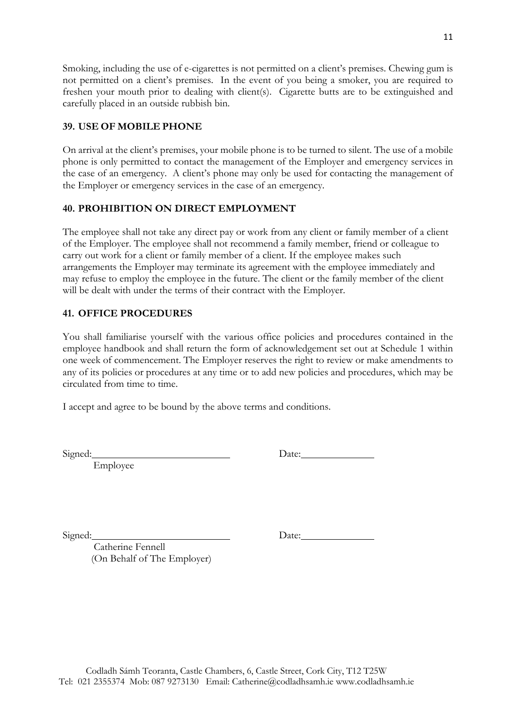Smoking, including the use of e-cigarettes is not permitted on a client's premises. Chewing gum is not permitted on a client's premises. In the event of you being a smoker, you are required to freshen your mouth prior to dealing with client(s). Cigarette butts are to be extinguished and carefully placed in an outside rubbish bin.

## **39. USE OF MOBILE PHONE**

On arrival at the client's premises, your mobile phone is to be turned to silent. The use of a mobile phone is only permitted to contact the management of the Employer and emergency services in the case of an emergency. A client's phone may only be used for contacting the management of the Employer or emergency services in the case of an emergency.

## **40. PROHIBITION ON DIRECT EMPLOYMENT**

The employee shall not take any direct pay or work from any client or family member of a client of the Employer. The employee shall not recommend a family member, friend or colleague to carry out work for a client or family member of a client. If the employee makes such arrangements the Employer may terminate its agreement with the employee immediately and may refuse to employ the employee in the future. The client or the family member of the client will be dealt with under the terms of their contract with the Employer.

## **41. OFFICE PROCEDURES**

You shall familiarise yourself with the various office policies and procedures contained in the employee handbook and shall return the form of acknowledgement set out at Schedule 1 within one week of commencement. The Employer reserves the right to review or make amendments to any of its policies or procedures at any time or to add new policies and procedures, which may be circulated from time to time.

I accept and agree to be bound by the above terms and conditions.

Employee

Signed: Date: Date:

Signed: Date:

 Catherine Fennell (On Behalf of The Employer)